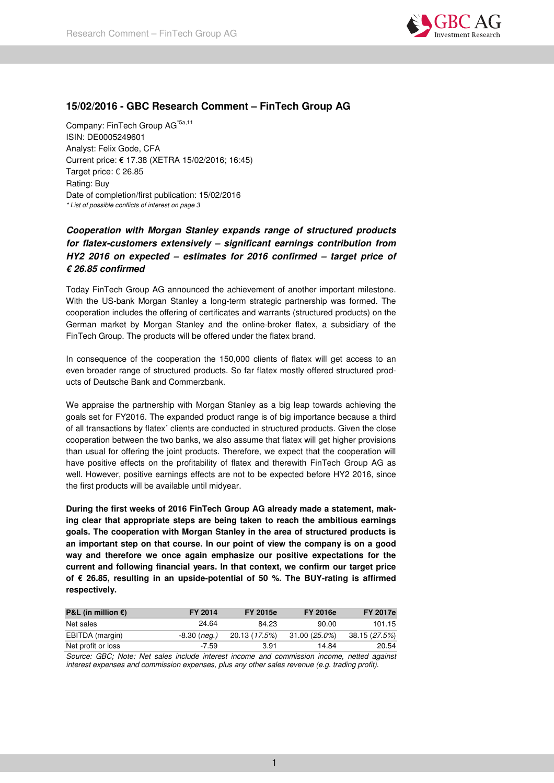

# **15/02/2016 - GBC Research Comment – FinTech Group AG**

Company: FinTech Group AG\*5a,11 ISIN: DE0005249601 Analyst: Felix Gode, CFA Current price: € 17.38 (XETRA 15/02/2016; 16:45) Target price: € 26.85 Rating: Buy Date of completion/first publication: 15/02/2016 *\* List of possible conflicts of interest on page 3* 

# **Cooperation with Morgan Stanley expands range of structured products for flatex-customers extensively – significant earnings contribution from HY2 2016 on expected – estimates for 2016 confirmed – target price of € 26.85 confirmed**

Today FinTech Group AG announced the achievement of another important milestone. With the US-bank Morgan Stanley a long-term strategic partnership was formed. The cooperation includes the offering of certificates and warrants (structured products) on the German market by Morgan Stanley and the online-broker flatex, a subsidiary of the FinTech Group. The products will be offered under the flatex brand.

In consequence of the cooperation the 150,000 clients of flatex will get access to an even broader range of structured products. So far flatex mostly offered structured products of Deutsche Bank and Commerzbank.

We appraise the partnership with Morgan Stanley as a big leap towards achieving the goals set for FY2016. The expanded product range is of big importance because a third of all transactions by flatex´ clients are conducted in structured products. Given the close cooperation between the two banks, we also assume that flatex will get higher provisions than usual for offering the joint products. Therefore, we expect that the cooperation will have positive effects on the profitability of flatex and therewith FinTech Group AG as well. However, positive earnings effects are not to be expected before HY2 2016, since the first products will be available until midyear.

**During the first weeks of 2016 FinTech Group AG already made a statement, making clear that appropriate steps are being taken to reach the ambitious earnings goals. The cooperation with Morgan Stanley in the area of structured products is an important step on that course. In our point of view the company is on a good way and therefore we once again emphasize our positive expectations for the current and following financial years. In that context, we confirm our target price of € 26.85, resulting in an upside-potential of 50 %. The BUY-rating is affirmed respectively.** 

| <b>P&amp;L</b> (in million $\epsilon$ ) | FY 2014        | <b>FY 2015e</b> | <b>FY 2016e</b> | <b>FY 2017e</b> |
|-----------------------------------------|----------------|-----------------|-----------------|-----------------|
| Net sales                               | 24.64          | 84.23           | 90.00           | 101.15          |
| EBITDA (margin)                         | $-8.30$ (neg.) | 20.13 (17.5%)   | 31.00 (25.0%)   | 38.15 (27.5%)   |
| Net profit or loss                      | -7.59          | 3.91            | 14.84           | 20.54           |

*Source: GBC; Note: Net sales include interest income and commission income, netted against interest expenses and commission expenses, plus any other sales revenue (e.g. trading profit).*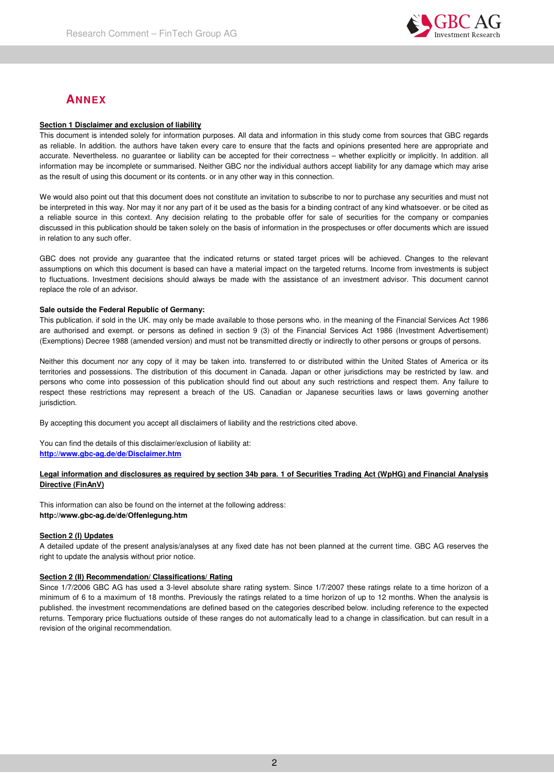

# **ANNEX**

## **Section 1 Disclaimer and exclusion of liability**

This document is intended solely for information purposes. All data and information in this study come from sources that GBC regards as reliable. In addition. the authors have taken every care to ensure that the facts and opinions presented here are appropriate and accurate. Nevertheless. no guarantee or liability can be accepted for their correctness – whether explicitly or implicitly. In addition. all information may be incomplete or summarised. Neither GBC nor the individual authors accept liability for any damage which may arise as the result of using this document or its contents. or in any other way in this connection.

We would also point out that this document does not constitute an invitation to subscribe to nor to purchase any securities and must not be interpreted in this way. Nor may it nor any part of it be used as the basis for a binding contract of any kind whatsoever. or be cited as a reliable source in this context. Any decision relating to the probable offer for sale of securities for the company or companies discussed in this publication should be taken solely on the basis of information in the prospectuses or offer documents which are issued in relation to any such offer.

GBC does not provide any guarantee that the indicated returns or stated target prices will be achieved. Changes to the relevant assumptions on which this document is based can have a material impact on the targeted returns. Income from investments is subject to fluctuations. Investment decisions should always be made with the assistance of an investment advisor. This document cannot replace the role of an advisor.

## **Sale outside the Federal Republic of Germany:**

This publication. if sold in the UK. may only be made available to those persons who. in the meaning of the Financial Services Act 1986 are authorised and exempt. or persons as defined in section 9 (3) of the Financial Services Act 1986 (Investment Advertisement) (Exemptions) Decree 1988 (amended version) and must not be transmitted directly or indirectly to other persons or groups of persons.

Neither this document nor any copy of it may be taken into. transferred to or distributed within the United States of America or its territories and possessions. The distribution of this document in Canada. Japan or other jurisdictions may be restricted by law. and persons who come into possession of this publication should find out about any such restrictions and respect them. Any failure to respect these restrictions may represent a breach of the US. Canadian or Japanese securities laws or laws governing another jurisdiction.

By accepting this document you accept all disclaimers of liability and the restrictions cited above.

You can find the details of this disclaimer/exclusion of liability at: **http://www.gbc-ag.de/de/Disclaimer.htm**

## **Legal information and disclosures as required by section 34b para. 1 of Securities Trading Act (WpHG) and Financial Analysis Directive (FinAnV)**

This information can also be found on the internet at the following address: **http://www.gbc-ag.de/de/Offenlegung.htm**

## **Section 2 (I) Updates**

A detailed update of the present analysis/analyses at any fixed date has not been planned at the current time. GBC AG reserves the right to update the analysis without prior notice.

## **Section 2 (II) Recommendation/ Classifications/ Rating**

Since 1/7/2006 GBC AG has used a 3-level absolute share rating system. Since 1/7/2007 these ratings relate to a time horizon of a minimum of 6 to a maximum of 18 months. Previously the ratings related to a time horizon of up to 12 months. When the analysis is published. the investment recommendations are defined based on the categories described below. including reference to the expected returns. Temporary price fluctuations outside of these ranges do not automatically lead to a change in classification. but can result in a revision of the original recommendation.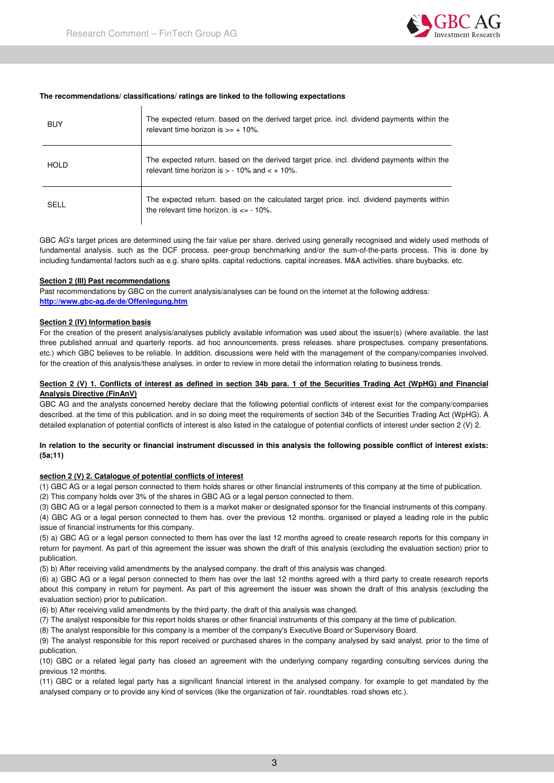

## **The recommendations/ classifications/ ratings are linked to the following expectations**

| <b>BUY</b>  | The expected return, based on the derived target price, incl. dividend payments within the<br>relevant time horizon is $\geq 10\%$ .             |
|-------------|--------------------------------------------------------------------------------------------------------------------------------------------------|
| <b>HOLD</b> | The expected return. based on the derived target price. incl. dividend payments within the<br>relevant time horizon is $> -10\%$ and $< +10\%$ . |
| SELL        | The expected return, based on the calculated target price, incl. dividend payments within<br>the relevant time horizon, is $\epsilon$ = - 10%.   |

GBC AG's target prices are determined using the fair value per share. derived using generally recognised and widely used methods of fundamental analysis. such as the DCF process. peer-group benchmarking and/or the sum-of-the-parts process. This is done by including fundamental factors such as e.g. share splits. capital reductions. capital increases. M&A activities. share buybacks. etc.

#### **Section 2 (III) Past recommendations**

Past recommendations by GBC on the current analysis/analyses can be found on the internet at the following address: **http://www.gbc-ag.de/de/Offenlegung.htm**

#### **Section 2 (IV) Information basis**

For the creation of the present analysis/analyses publicly available information was used about the issuer(s) (where available. the last three published annual and quarterly reports. ad hoc announcements. press releases. share prospectuses. company presentations. etc.) which GBC believes to be reliable. In addition. discussions were held with the management of the company/companies involved. for the creation of this analysis/these analyses. in order to review in more detail the information relating to business trends.

## **Section 2 (V) 1. Conflicts of interest as defined in section 34b para. 1 of the Securities Trading Act (WpHG) and Financial Analysis Directive (FinAnV)**

GBC AG and the analysts concerned hereby declare that the following potential conflicts of interest exist for the company/companies described. at the time of this publication. and in so doing meet the requirements of section 34b of the Securities Trading Act (WpHG). A detailed explanation of potential conflicts of interest is also listed in the catalogue of potential conflicts of interest under section 2 (V) 2.

#### **In relation to the security or financial instrument discussed in this analysis the following possible conflict of interest exists: (5a;11)**

#### **section 2 (V) 2. Catalogue of potential conflicts of interest**

(1) GBC AG or a legal person connected to them holds shares or other financial instruments of this company at the time of publication. (2) This company holds over 3% of the shares in GBC AG or a legal person connected to them.

(3) GBC AG or a legal person connected to them is a market maker or designated sponsor for the financial instruments of this company.

(4) GBC AG or a legal person connected to them has. over the previous 12 months. organised or played a leading role in the public issue of financial instruments for this company.

(5) a) GBC AG or a legal person connected to them has over the last 12 months agreed to create research reports for this company in return for payment. As part of this agreement the issuer was shown the draft of this analysis (excluding the evaluation section) prior to publication.

(5) b) After receiving valid amendments by the analysed company. the draft of this analysis was changed.

(6) a) GBC AG or a legal person connected to them has over the last 12 months agreed with a third party to create research reports about this company in return for payment. As part of this agreement the issuer was shown the draft of this analysis (excluding the evaluation section) prior to publication.

(6) b) After receiving valid amendments by the third party. the draft of this analysis was changed.

(7) The analyst responsible for this report holds shares or other financial instruments of this company at the time of publication.

(8) The analyst responsible for this company is a member of the company's Executive Board or Supervisory Board.

(9) The analyst responsible for this report received or purchased shares in the company analysed by said analyst. prior to the time of publication.

(10) GBC or a related legal party has closed an agreement with the underlying company regarding consulting services during the previous 12 months.

(11) GBC or a related legal party has a significant financial interest in the analysed company. for example to get mandated by the analysed company or to provide any kind of services (like the organization of fair. roundtables. road shows etc.).